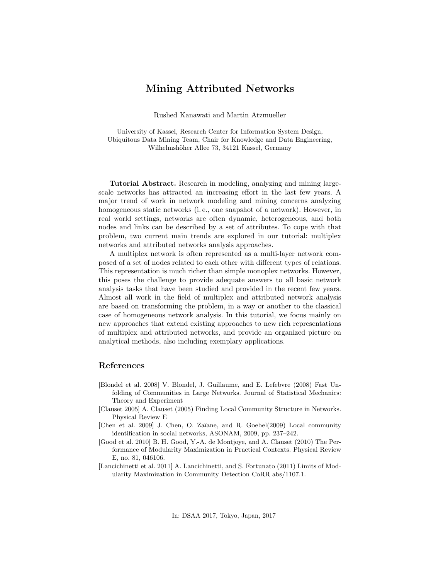## Mining Attributed Networks

Rushed Kanawati and Martin Atzmueller

University of Kassel, Research Center for Information System Design, Ubiquitous Data Mining Team, Chair for Knowledge and Data Engineering, Wilhelmshöher Allee 73, 34121 Kassel, Germany

Tutorial Abstract. Research in modeling, analyzing and mining largescale networks has attracted an increasing effort in the last few years. A major trend of work in network modeling and mining concerns analyzing homogeneous static networks (i.e., one snapshot of a network). However, in real world settings, networks are often dynamic, heterogeneous, and both nodes and links can be described by a set of attributes. To cope with that problem, two current main trends are explored in our tutorial: multiplex networks and attributed networks analysis approaches.

A multiplex network is often represented as a multi-layer network composed of a set of nodes related to each other with different types of relations. This representation is much richer than simple monoplex networks. However, this poses the challenge to provide adequate answers to all basic network analysis tasks that have been studied and provided in the recent few years. Almost all work in the field of multiplex and attributed network analysis are based on transforming the problem, in a way or another to the classical case of homogeneous network analysis. In this tutorial, we focus mainly on new approaches that extend existing approaches to new rich representations of multiplex and attributed networks, and provide an organized picture on analytical methods, also including exemplary applications.

## References

- [Blondel et al. 2008] V. Blondel, J. Guillaume, and E. Lefebvre (2008) Fast Unfolding of Communities in Large Networks. Journal of Statistical Mechanics: Theory and Experiment
- [Clauset 2005] A. Clauset (2005) Finding Local Community Structure in Networks. Physical Review E
- [Chen et al. 2009] J. Chen, O. Zaïane, and R. Goebel(2009) Local community identification in social networks, ASONAM, 2009, pp. 237–242.
- [Good et al. 2010] B. H. Good, Y.-A. de Montjoye, and A. Clauset (2010) The Performance of Modularity Maximization in Practical Contexts. Physical Review E, no. 81, 046106.
- [Lancichinetti et al. 2011] A. Lancichinetti, and S. Fortunato (2011) Limits of Modularity Maximization in Community Detection CoRR abs/1107.1.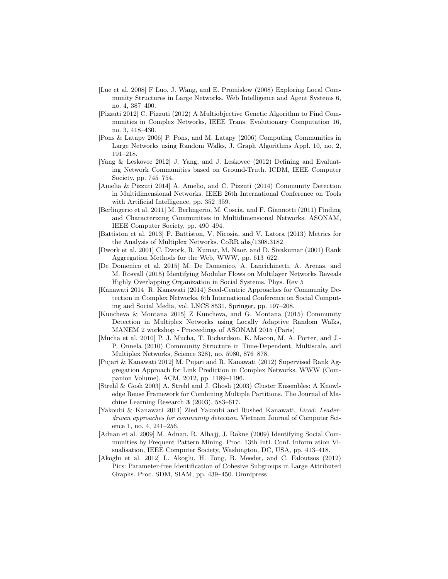- [Lue et al. 2008] F Luo, J. Wang, and E. Promislow (2008) Exploring Local Community Structures in Large Networks. Web Intelligence and Agent Systems 6, no. 4, 387–400.
- [Pizzuti 2012] C. Pizzuti (2012) A Multiobjective Genetic Algorithm to Find Communities in Complex Networks, IEEE Trans. Evolutionary Computation 16, no. 3, 418–430.
- [Pons & Latapy 2006] P. Pons, and M. Latapy (2006) Computing Communities in Large Networks using Random Walks, J. Graph Algorithms Appl. 10, no. 2, 191–218.
- [Yang & Leskovec 2012] J. Yang, and J. Leskovec (2012) Defining and Evaluating Network Communities based on Ground-Truth. ICDM, IEEE Computer Society, pp. 745–754.
- [Amelia & Pizzuti 2014] A. Amelio, and C. Pizzuti (2014) Community Detection in Multidimensional Networks. IEEE 26th International Conference on Tools with Artificial Intelligence, pp. 352–359.
- [Berlingerio et al. 2011] M. Berlingerio, M. Coscia, and F. Giannotti (2011) Finding and Characterizing Communities in Multidimensional Networks. ASONAM, IEEE Computer Society, pp. 490–494.
- [Battiston et al. 2013] F. Battiston, V. Nicosia, and V. Latora (2013) Metrics for the Analysis of Multiplex Networks. CoRR abs/1308.3182
- [Dwork et al. 2001] C. Dwork, R. Kumar, M. Naor, and D. Sivakumar (2001) Rank Aggregation Methods for the Web, WWW, pp. 613–622.
- [De Domenico et al. 2015] M. De Domenico, A. Lancichinetti, A. Arenas, and M. Rosvall (2015) Identifying Modular Flows on Multilayer Networks Reveals Highly Overlapping Organization in Social Systems. Phys. Rev 5
- [Kanawati 2014] R. Kanawati (2014) Seed-Centric Approaches for Community Detection in Complex Networks, 6th International Conference on Social Computing and Social Media, vol. LNCS 8531, Springer, pp. 197–208.
- [Kuncheva & Montana 2015] Z Kuncheva, and G. Montana (2015) Community Detection in Multiplex Networks using Locally Adaptive Random Walks, MANEM 2 workshop - Proceedings of ASONAM 2015 (Paris)
- [Mucha et al. 2010] P. J. Mucha, T. Richardson, K. Macon, M. A. Porter, and J.- P. Onnela (2010) Community Structure in Time-Dependent, Multiscale, and Multiplex Networks, Science 328), no. 5980, 876–878.
- [Pujari & Kanawati 2012] M. Pujari and R. Kanawati (2012) Supervised Rank Aggregation Approach for Link Prediction in Complex Networks. WWW (Companion Volume), ACM, 2012, pp. 1189–1196.
- [Strehl & Gosh 2003] A. Strehl and J. Ghosh (2003) Cluster Ensembles: A Knowledge Reuse Framework for Combining Multiple Partitions. The Journal of Machine Learning Research 3 (2003), 583–617.
- [Yakoubi & Kanawati 2014] Zied Yakoubi and Rushed Kanawati, Licod: Leaderdriven approaches for community detection, Vietnam Journal of Computer Science 1, no. 4, 241–256.
- [Adnan et al. 2009] M. Adnan, R. Alhajj, J. Rokne (2009) Identifying Social Communities by Frequent Pattern Mining. Proc. 13th Intl. Conf. Inform ation Visualisation, IEEE Computer Society, Washington, DC, USA, pp. 413–418.
- [Akoglu et al. 2012] L. Akoglu, H. Tong, B. Meeder, and C. Faloutsos (2012) Pics: Parameter-free Identification of Cohesive Subgroups in Large Attributed Graphs. Proc. SDM, SIAM, pp. 439–450. Omnipress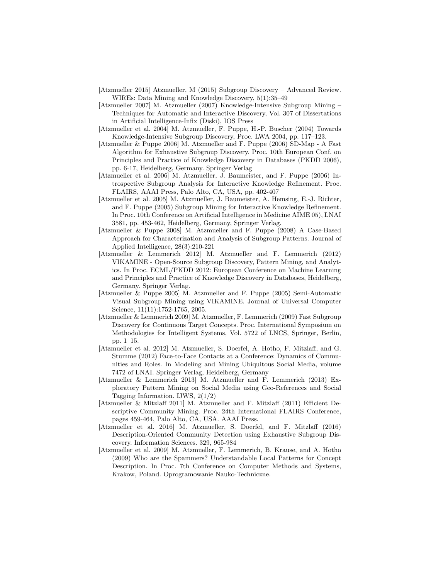- [Atzmueller 2015] Atzmueller, M (2015) Subgroup Discovery Advanced Review. WIREs: Data Mining and Knowledge Discovery, 5(1):35–49
- [Atzmueller 2007] M. Atzmueller (2007) Knowledge-Intensive Subgroup Mining Techniques for Automatic and Interactive Discovery, Vol. 307 of Dissertations in Artificial Intelligence-Infix (Diski), IOS Press
- [Atzmueller et al. 2004] M. Atzmueller, F. Puppe, H.-P. Buscher (2004) Towards Knowledge-Intensive Subgroup Discovery, Proc. LWA 2004, pp. 117–123.
- [Atzmueller & Puppe 2006] M. Atzmueller and F. Puppe (2006) SD-Map A Fast Algorithm for Exhaustive Subgroup Discovery. Proc. 10th European Conf. on Principles and Practice of Knowledge Discovery in Databases (PKDD 2006), pp. 6-17, Heidelberg, Germany. Springer Verlag
- [Atzmueller et al. 2006] M. Atzmueller, J. Baumeister, and F. Puppe (2006) Introspective Subgroup Analysis for Interactive Knowledge Refinement. Proc. FLAIRS, AAAI Press, Palo Alto, CA, USA, pp. 402-407
- [Atzmueller et al. 2005] M. Atzmueller, J. Baumeister, A. Hemsing, E.-J. Richter, and F. Puppe (2005) Subgroup Mining for Interactive Knowledge Refinement. In Proc. 10th Conference on Artificial Intelligence in Medicine AIME 05), LNAI 3581, pp. 453-462, Heidelberg, Germany, Springer Verlag.
- [Atzmueller & Puppe 2008] M. Atzmueller and F. Puppe (2008) A Case-Based Approach for Characterization and Analysis of Subgroup Patterns. Journal of Applied Intelligence, 28(3):210-221
- [Atzmueller & Lemmerich 2012] M. Atzmueller and F. Lemmerich (2012) VIKAMINE - Open-Source Subgroup Discovery, Pattern Mining, and Analytics. In Proc. ECML/PKDD 2012: European Conference on Machine Learning and Principles and Practice of Knowledge Discovery in Databases, Heidelberg, Germany. Springer Verlag.
- [Atzmueller & Puppe 2005] M. Atzmueller and F. Puppe (2005) Semi-Automatic Visual Subgroup Mining using VIKAMINE. Journal of Universal Computer Science, 11(11):1752-1765, 2005.
- [Atzmueller & Lemmerich 2009] M. Atzmueller, F. Lemmerich (2009) Fast Subgroup Discovery for Continuous Target Concepts. Proc. International Symposium on Methodologies for Intelligent Systems, Vol. 5722 of LNCS, Springer, Berlin, pp. 1–15.
- [Atzmueller et al. 2012] M. Atzmueller, S. Doerfel, A. Hotho, F. Mitzlaff, and G. Stumme (2012) Face-to-Face Contacts at a Conference: Dynamics of Communities and Roles. In Modeling and Mining Ubiquitous Social Media, volume 7472 of LNAI. Springer Verlag, Heidelberg, Germany
- [Atzmueller & Lemmerich 2013] M. Atzmueller and F. Lemmerich (2013) Exploratory Pattern Mining on Social Media using Geo-References and Social Tagging Information. IJWS, 2(1/2)
- [Atzmueller & Mitzlaff 2011] M. Atzmueller and F. Mitzlaff (2011) Efficient Descriptive Community Mining. Proc. 24th International FLAIRS Conference, pages 459-464, Palo Alto, CA, USA. AAAI Press.
- [Atzmueller et al. 2016] M. Atzmueller, S. Doerfel, and F. Mitzlaff (2016) Description-Oriented Community Detection using Exhaustive Subgroup Discovery. Information Sciences. 329, 965-984
- [Atzmueller et al. 2009] M. Atzmueller, F. Lemmerich, B. Krause, and A. Hotho (2009) Who are the Spammers? Understandable Local Patterns for Concept Description. In Proc. 7th Conference on Computer Methods and Systems, Krakow, Poland. Oprogramowanie Nauko-Techniczne.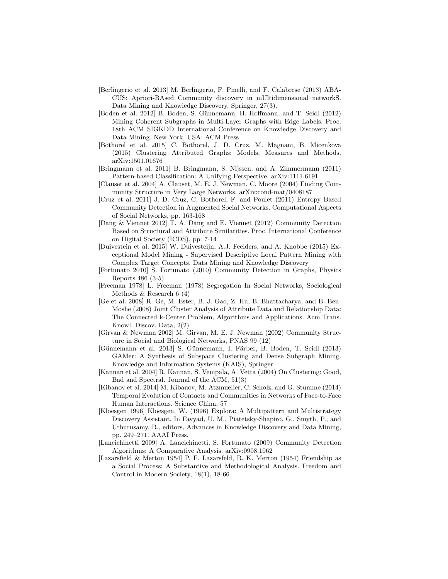- [Berlingerio et al. 2013] M. Berlingerio, F. Pinelli, and F. Calabrese (2013) ABA-CUS: Apriori-BAsed Community discovery in mUltidimensional networkS. Data Mining and Knowledge Discovery, Springer, 27(3).
- [Boden et al. 2012] B. Boden, S. Günnemann, H. Hoffmann, and T. Seidl (2012) Mining Coherent Subgraphs in Multi-Layer Graphs with Edge Labels. Proc. 18th ACM SIGKDD International Conference on Knowledge Discovery and Data Mining. New York, USA: ACM Press
- [Bothorel et al. 2015] C. Bothorel, J. D. Cruz, M. Magnani, B. Micenkova (2015) Clustering Attributed Graphs: Models, Measures and Methods. arXiv:1501.01676
- [Bringmann et al. 2011] B. Bringmann, S. Nijssen, and A. Zimmermann (2011) Pattern-based Classification: A Unifying Perspective. arXiv:1111.6191
- [Clauset et al. 2004] A. Clauset, M. E. J. Newman, C. Moore (2004) Finding Community Structure in Very Large Networks. arXiv:cond-mat/0408187
- [Cruz et al. 2011] J. D. Cruz, C. Bothorel, F. and Poulet (2011) Entropy Based Community Detection in Augmented Social Networks. Computational Aspects of Social Networks, pp. 163-168
- [Dang & Viennet 2012] T. A. Dang and E. Viennet (2012) Community Detection Based on Structural and Attribute Similarities. Proc. International Conference on Digital Society (ICDS), pp. 7-14
- [Duivestein et al. 2015] W. Duivesteijn, A.J. Feelders, and A. Knobbe (2015) Exceptional Model Mining - Supervised Descriptive Local Pattern Mining with Complex Target Concepts. Data Mining and Knowledge Discovery
- [Fortunato 2010] S. Fortunato (2010) Community Detection in Graphs, Physics Reports 486 (3-5)
- [Freeman 1978] L. Freeman (1978) Segregation In Social Networks, Sociological Methods & Research 6 (4)
- [Ge et al. 2008] R. Ge, M. Ester, B. J. Gao, Z. Hu, B. Bhattacharya, and B. Ben-Moshe (2008) Joint Cluster Analysis of Attribute Data and Relationship Data: The Connected k-Center Problem, Algorithms and Applications. Acm Trans. Knowl. Discov. Data, 2(2)
- [Girvan & Newman 2002] M. Girvan, M. E. J. Newman (2002) Community Structure in Social and Biological Networks, PNAS 99 (12)
- [Günnemann et al. 2013] S. Günnemann, I. Färber, B. Boden, T. Seidl (2013) GAMer: A Synthesis of Subspace Clustering and Dense Subgraph Mining. Knowledge and Information Systems (KAIS), Springer
- [Kannan et al. 2004] R. Kannan, S. Vempala, A. Vetta (2004) On Clustering: Good, Bad and Spectral. Journal of the ACM, 51(3)
- [Kibanov et al. 2014] M. Kibanov, M. Atzmueller, C. Scholz, and G. Stumme (2014) Temporal Evolution of Contacts and Communities in Networks of Face-to-Face Human Interactions. Science China, 57
- [Kloesgen 1996] Kloesgen, W. (1996) Explora: A Multipattern and Multistrategy Discovery Assistant. In Fayyad, U. M., Piatetsky-Shapiro, G., Smyth, P., and Uthurusamy, R., editors, Advances in Knowledge Discovery and Data Mining, pp. 249–271. AAAI Press.
- [Lancichinetti 2009] A. Lancichinetti, S. Fortunato (2009) Community Detection Algorithms: A Comparative Analysis. arXiv:0908.1062
- [Lazarsfield & Merton 1954] P. F. Lazarsfeld, R. K. Merton (1954) Friendship as a Social Process: A Substantive and Methodological Analysis. Freedom and Control in Modern Society, 18(1), 18-66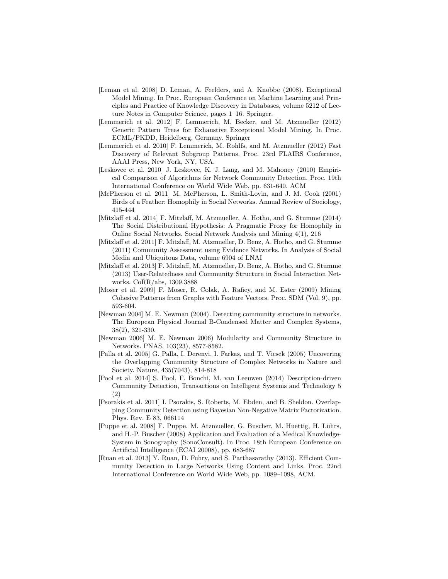- [Leman et al. 2008] D. Leman, A. Feelders, and A. Knobbe (2008). Exceptional Model Mining. In Proc. European Conference on Machine Learning and Principles and Practice of Knowledge Discovery in Databases, volume 5212 of Lecture Notes in Computer Science, pages 1–16. Springer.
- [Lemmerich et al. 2012] F. Lemmerich, M. Becker, and M. Atzmueller (2012) Generic Pattern Trees for Exhaustive Exceptional Model Mining. In Proc. ECML/PKDD, Heidelberg, Germany. Springer
- [Lemmerich et al. 2010] F. Lemmerich, M. Rohlfs, and M. Atzmueller (2012) Fast Discovery of Relevant Subgroup Patterns. Proc. 23rd FLAIRS Conference, AAAI Press, New York, NY, USA.
- [Leskovec et al. 2010] J. Leskovec, K. J. Lang, and M. Mahoney (2010) Empirical Comparison of Algorithms for Network Community Detection. Proc. 19th International Conference on World Wide Web, pp. 631-640. ACM
- [McPherson et al. 2011] M. McPherson, L. Smith-Lovin, and J. M. Cook (2001) Birds of a Feather: Homophily in Social Networks. Annual Review of Sociology, 415-444
- [Mitzlaff et al. 2014] F. Mitzlaff, M. Atzmueller, A. Hotho, and G. Stumme (2014) The Social Distributional Hypothesis: A Pragmatic Proxy for Homophily in Online Social Networks. Social Network Analysis and Mining 4(1), 216
- [Mitzlaff et al. 2011] F. Mitzlaff, M. Atzmueller, D. Benz, A. Hotho, and G. Stumme (2011) Community Assessment using Evidence Networks. In Analysis of Social Media and Ubiquitous Data, volume 6904 of LNAI
- [Mitzlaff et al. 2013] F. Mitzlaff, M. Atzmueller, D. Benz, A. Hotho, and G. Stumme (2013) User-Relatedness and Community Structure in Social Interaction Networks. CoRR/abs, 1309.3888
- [Moser et al. 2009] F. Moser, R. Colak, A. Rafiey, and M. Ester (2009) Mining Cohesive Patterns from Graphs with Feature Vectors. Proc. SDM (Vol. 9), pp. 593-604.
- [Newman 2004] M. E. Newman (2004). Detecting community structure in networks. The European Physical Journal B-Condensed Matter and Complex Systems, 38(2), 321-330.
- [Newman 2006] M. E. Newman 2006) Modularity and Community Structure in Networks. PNAS, 103(23), 8577-8582.
- [Palla et al. 2005] G. Palla, I. Derenyi, I. Farkas, and T. Vicsek (2005) Uncovering the Overlapping Community Structure of Complex Networks in Nature and Society. Nature, 435(7043), 814-818
- [Pool et al. 2014] S. Pool, F. Bonchi, M. van Leeuwen (2014) Description-driven Community Detection, Transactions on Intelligent Systems and Technology 5 (2)
- [Psorakis et al. 2011] I. Psorakis, S. Roberts, M. Ebden, and B. Sheldon. Overlapping Community Detection using Bayesian Non-Negative Matrix Factorization. Phys. Rev. E 83, 066114
- [Puppe et al. 2008] F. Puppe, M. Atzmueller, G. Buscher, M. Huettig, H. L¨uhrs, and H.-P. Buscher (2008) Application and Evaluation of a Medical Knowledge-System in Sonography (SonoConsult). In Proc. 18th European Conference on Artificial Intelligence (ECAI 20008), pp. 683-687
- [Ruan et al. 2013] Y. Ruan, D. Fuhry, and S. Parthasarathy (2013). Efficient Community Detection in Large Networks Using Content and Links. Proc. 22nd International Conference on World Wide Web, pp. 1089–1098, ACM.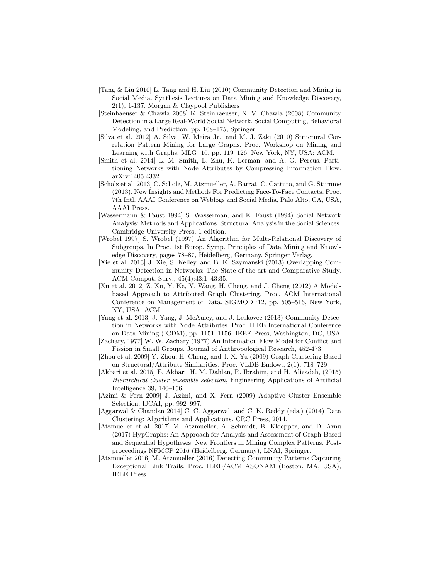- [Tang & Liu 2010] L. Tang and H. Liu (2010) Community Detection and Mining in Social Media. Synthesis Lectures on Data Mining and Knowledge Discovery, 2(1), 1-137. Morgan & Claypool Publishers
- [Steinhaeuser & Chawla 2008] K. Steinhaeuser, N. V. Chawla (2008) Community Detection in a Large Real-World Social Network. Social Computing, Behavioral Modeling, and Prediction, pp. 168–175, Springer
- [Silva et al. 2012] A. Silva, W. Meira Jr., and M. J. Zaki (2010) Structural Correlation Pattern Mining for Large Graphs. Proc. Workshop on Mining and Learning with Graphs. MLG '10, pp. 119–126. New York, NY, USA: ACM.
- [Smith et al. 2014] L. M. Smith, L. Zhu, K. Lerman, and A. G. Percus. Partitioning Networks with Node Attributes by Compressing Information Flow. arXiv:1405.4332
- [Scholz et al. 2013] C. Scholz, M. Atzmueller, A. Barrat, C. Cattuto, and G. Stumme (2013). New Insights and Methods For Predicting Face-To-Face Contacts. Proc. 7th Intl. AAAI Conference on Weblogs and Social Media, Palo Alto, CA, USA, AAAI Press.
- [Wassermann & Faust 1994] S. Wasserman, and K. Faust (1994) Social Network Analysis: Methods and Applications. Structural Analysis in the Social Sciences. Cambridge University Press, 1 edition.
- [Wrobel 1997] S. Wrobel (1997) An Algorithm for Multi-Relational Discovery of Subgroups. In Proc. 1st Europ. Symp. Principles of Data Mining and Knowledge Discovery, pages 78–87, Heidelberg, Germany. Springer Verlag.
- [Xie et al. 2013] J. Xie, S. Kelley, and B. K. Szymanski (2013) Overlapping Community Detection in Networks: The State-of-the-art and Comparative Study. ACM Comput. Surv., 45(4):43:1–43:35.
- [Xu et al. 2012] Z. Xu, Y. Ke, Y. Wang, H. Cheng, and J. Cheng (2012) A Modelbased Approach to Attributed Graph Clustering. Proc. ACM International Conference on Management of Data. SIGMOD '12, pp. 505–516, New York, NY, USA. ACM.
- [Yang et al. 2013] J. Yang, J. McAuley, and J. Leskovec (2013) Community Detection in Networks with Node Attributes. Proc. IEEE International Conference on Data Mining (ICDM), pp. 1151–1156. IEEE Press, Washington, DC, USA
- [Zachary, 1977] W. W. Zachary (1977) An Information Flow Model for Conflict and Fission in Small Groups. Journal of Anthropological Research, 452-473.
- [Zhou et al. 2009] Y. Zhou, H. Cheng, and J. X. Yu (2009) Graph Clustering Based on Structural/Attribute Similarities. Proc. VLDB Endow., 2(1), 718–729.
- [Akbari et al. 2015] E. Akbari, H. M. Dahlan, R. Ibrahim, and H. Alizadeh, (2015) Hierarchical cluster ensemble selection, Engineering Applications of Artificial Intelligence 39, 146–156.
- [Azimi & Fern 2009] J. Azimi, and X. Fern (2009) Adaptive Cluster Ensemble Selection. IJCAI, pp. 992–997.
- [Aggarwal & Chandan 2014] C. C. Aggarwal, and C. K. Reddy (eds.) (2014) Data Clustering: Algorithms and Applications. CRC Press, 2014.
- [Atzmueller et al. 2017] M. Atzmueller, A. Schmidt, B. Kloepper, and D. Arnu (2017) HypGraphs: An Approach for Analysis and Assessment of Graph-Based and Sequential Hypotheses. New Frontiers in Mining Complex Patterns. Postproceedings NFMCP 2016 (Heidelberg, Germany), LNAI, Springer.
- [Atzmueller 2016] M. Atzmueller (2016) Detecting Community Patterns Capturing Exceptional Link Trails. Proc. IEEE/ACM ASONAM (Boston, MA, USA), IEEE Press.